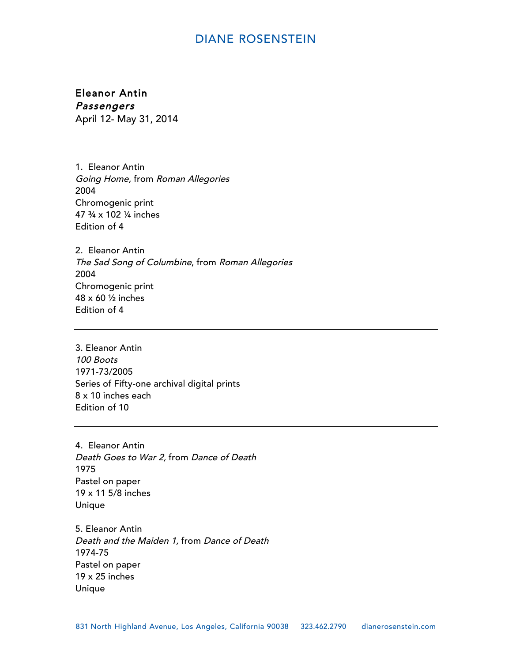Eleanor Antin Passengers April 12- May 31, 2014

1. Eleanor Antin Going Home, from Roman Allegories 2004 Chromogenic print 47 ¾ x 102 ¼ inches Edition of 4

2. Eleanor Antin The Sad Song of Columbine, from Roman Allegories 2004 Chromogenic print 48 x 60 ½ inches Edition of 4

3. Eleanor Antin 100 Boots 1971-73/2005 Series of Fifty-one archival digital prints 8 x 10 inches each Edition of 10

4. Eleanor Antin Death Goes to War 2, from Dance of Death 1975 Pastel on paper 19 x 11 5/8 inches Unique

5. Eleanor Antin Death and the Maiden 1, from Dance of Death 1974-75 Pastel on paper 19 x 25 inches Unique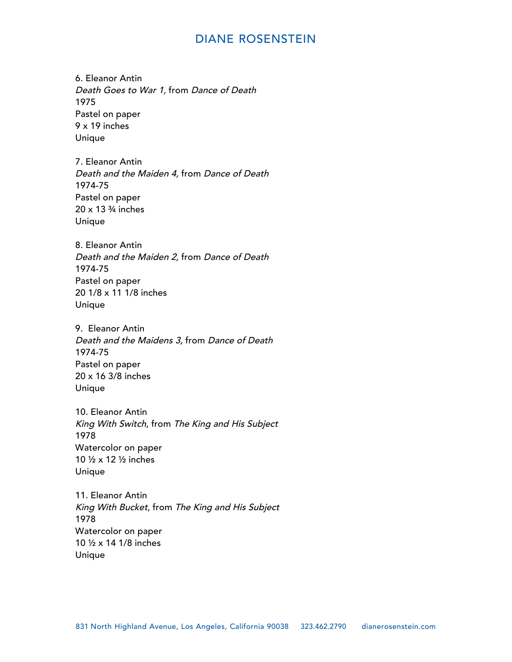6. Eleanor Antin Death Goes to War 1, from Dance of Death 1975 Pastel on paper 9 x 19 inches Unique

7. Eleanor Antin Death and the Maiden 4, from Dance of Death 1974-75 Pastel on paper 20 x 13 ¾ inches Unique

8. Eleanor Antin Death and the Maiden 2, from Dance of Death 1974-75 Pastel on paper 20 1/8 x 11 1/8 inches Unique

9. Eleanor Antin Death and the Maidens 3, from Dance of Death 1974-75 Pastel on paper 20 x 16 3/8 inches Unique

10. Eleanor Antin King With Switch, from The King and His Subject 1978 Watercolor on paper 10 ½ x 12 ½ inches Unique

11. Eleanor Antin King With Bucket, from The King and His Subject 1978 Watercolor on paper 10 ½ x 14 1/8 inches Unique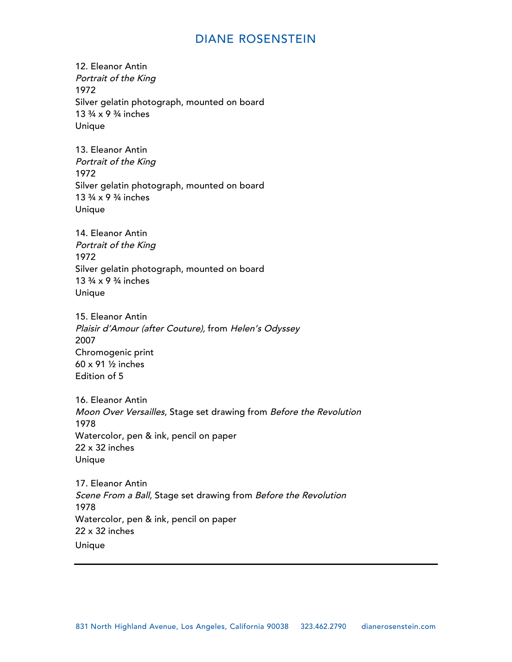12. Eleanor Antin Portrait of the King 1972 Silver gelatin photograph, mounted on board 13 ¾ x 9 ¾ inches Unique

13. Eleanor Antin Portrait of the King 1972 Silver gelatin photograph, mounted on board 13 ¾ x 9 ¾ inches Unique

14. Eleanor Antin Portrait of the King 1972 Silver gelatin photograph, mounted on board 13 ¾ x 9 ¾ inches Unique

15. Eleanor Antin Plaisir d'Amour (after Couture), from Helen's Odyssey 2007 Chromogenic print 60 x 91 ½ inches Edition of 5

16. Eleanor Antin Moon Over Versailles, Stage set drawing from Before the Revolution 1978 Watercolor, pen & ink, pencil on paper 22 x 32 inches Unique

17. Eleanor Antin Scene From a Ball, Stage set drawing from Before the Revolution 1978 Watercolor, pen & ink, pencil on paper 22 x 32 inches Unique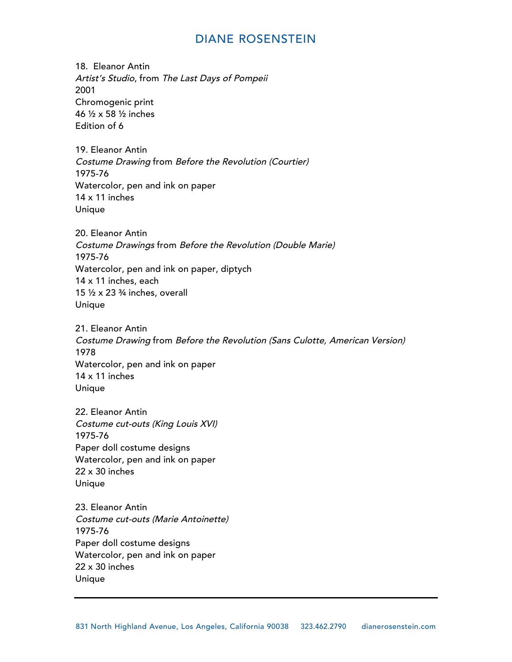18. Eleanor Antin Artist's Studio, from The Last Days of Pompeii 2001 Chromogenic print 46 ½ x 58 ½ inches Edition of 6

19. Eleanor Antin Costume Drawing from Before the Revolution (Courtier) 1975-76 Watercolor, pen and ink on paper 14 x 11 inches Unique

20. Eleanor Antin Costume Drawings from Before the Revolution (Double Marie) 1975-76 Watercolor, pen and ink on paper, diptych 14 x 11 inches, each 15 ½ x 23 ¾ inches, overall Unique

21. Eleanor Antin Costume Drawing from Before the Revolution (Sans Culotte, American Version) 1978 Watercolor, pen and ink on paper 14 x 11 inches Unique

22. Eleanor Antin Costume cut-outs (King Louis XVI) 1975-76 Paper doll costume designs Watercolor, pen and ink on paper 22 x 30 inches Unique

23. Eleanor Antin Costume cut-outs (Marie Antoinette) 1975-76 Paper doll costume designs Watercolor, pen and ink on paper 22 x 30 inches Unique